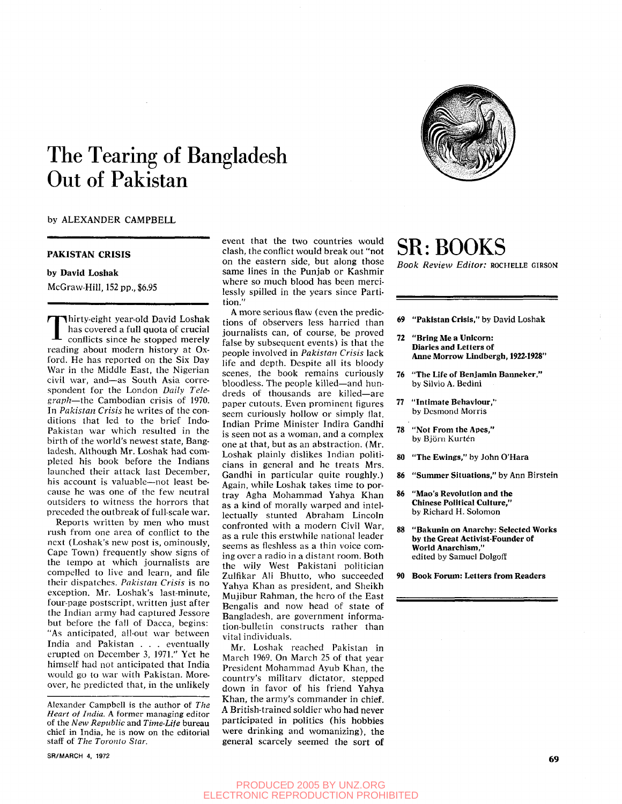# The Tearing of Bangladesh Out of Pakistan

# by ALEXANDER CAMPBELL

#### **PAKISTAN CRISIS**

## by David Loshak

McGraw-Hill, 152 pp., \$6.95

Thirty-eight year-old David Loshak<br>has covered a full quota of crucial<br>conflicts since he stopped merely<br>reading about modern history at Oxhirty-eight year-old David Loshak has covered a full quota of crucial conflicts since he stopped merely ford. He has reported on the Six Day War in the Middle East, the Nigerian civil war, and—as South Asia correspondent for the London *Daily Telegraph*—the Cambodian crisis of 1970. In *Pakistan Crisis* he writes of the conditions that led to the brief Indo-Pakistan war which resulted in the birth of the world's newest state, Bangladesh. Although Mr. Loshak had completed his book before the Indians launched their attack last December, his account is valuable—not least because he was one of the few neutral outsiders to witness the horrors that preceded the outbreak of full-scale war.

Reports written by men who must rush from one area of conflict to the next (Loshak's new post is, ominously, Cape Town) frequently show signs of the tempo at which journalists are compelled to live and learn, and file their dispatches. *Pakistan Crisis* is no exception. Mr. Loshak's last-minute, four-page postscript, written just after the Indian army had captured Jessore but before the fall of Dacca, begins: "As anticipated, all-out war between India and Pakistan . . . eventually erupted on December 3, 1971." Yet he himself had not anticipated that India would go to war with Pakistan. Moreover, he predicted that, in the unlikely

Alexander Campbell is the author of *The Heart of India.* A former managing editor of the *New Republic* and *Time-Life* bureau chief in India, he is now on the editorial staff of *The Toronto Star.* 

SR/MARCH 4, 1972 69

event that the two countries would clash, the conflict would break out "not on the eastern side, but along those same lines in the Punjab or Kashmir where so much blood has been mercilessly spilled in the years since Partition."

A more serious flaw (even the predictions of observers less harried than journalists can, of course, be proved false by subsequent events) is that the people involved in *Pakistan Crisis* lack life and depth. Despite all its bloody scenes, the book remains curiously bloodless. The people killed—and hundreds of thousands are killed—are paper cutouts. Even prominent figures seem curiously hollow or simply Hat. Indian Prime Minister Indira Gandhi is seen not as a woman, and a complex one at that, but as an abstraction. (Mr. Loshak plainly dislikes Indian politicians in general and he treats Mrs. Gandhi in particular quite roughly.) Again, while Loshak takes time to portray Agha Mohammad Yahya Khan as a kind of morally warped and intellectually stunted Abraham Lincoln confronted with a modern Civil War, as a rule this erstwhile national leader seems as fleshless as a thin voice coming over a radio in a distant room. Both the wily West Pakistani politician Zulfikar Ali Bhutto, who succeeded Yahya Khan as president, and Sheikh Mujibur Rahman, the hero of the East Bengalis and now head of state of Bangladesh, are government information-bulletin constructs rather than vital individuals.

Mr. Loshak reached Pakistan in March 1969. On March 25 of that year President Mohammad Ayub Khan, the country's military dictator, stepped down in favor of his friend Yahya Khan, the army's commander in chief. A British-trained soldier who had never participated in politics (his hobbies were drinking and womanizing), the general scarcely seemed the sort of

# SR: BOOKS

*Book Review Editor:* ROCHELLE GIRSON

- 69 "Pakistan Crisis," by David Loshak
- 72 "Bring Me a Unicom: Diaries and Letters of Anne Morrow Lindbergh, **1922-1928"**
- 76 "The Life of Benjamin Banneker," by Silvio A. Bedini
- 77 "Intimate Behaviour," by Desmond Morris
- 78 "Not From the Apes," by Björn Kurtén
- 80 "The Ewings," by John O'Hara
- 86 "Summer Situations," by Ann Birstein
- 86 "Mao's Revolution and the Chinese Political Culture," by Richard H. Solomon
- 88 "Bakunin on Anarchy: Selected Works by the Great Activist-Founder of World Anarchism," edited by Samuel Dolgoff
- 90 Book Forum: Letters from Readers



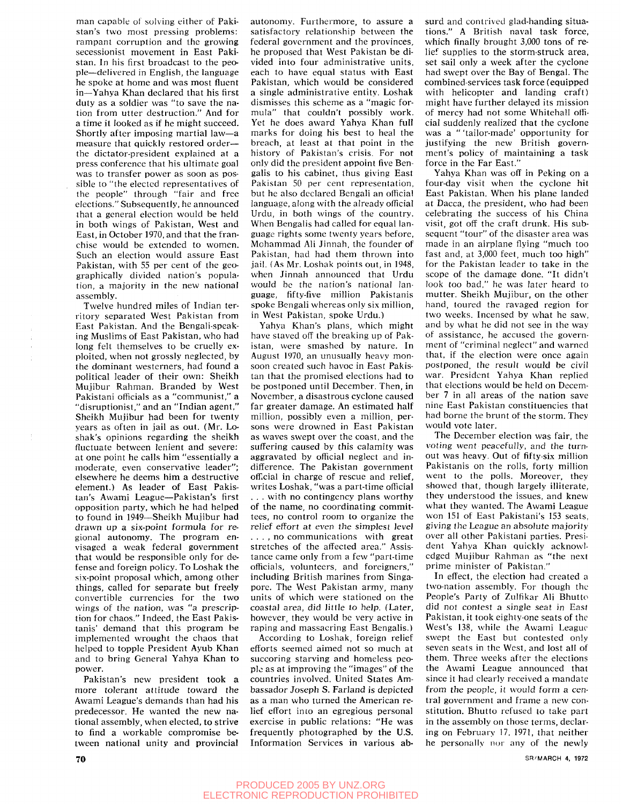man capable of solving either of Pakistan's two most pressing problems: rampant corruption and the growing secessionist movement in East Pakistan. In his first broadcast to the people—delivered in English, the language he spoke at home and was most fluent in—Yahya Khan declared that his first duty as a soldier was "to save the nation from utter destruction." And for a time it looked as if he might succeed. Shortly after imposing martial law—a measure that quickly restored order the dictator-president explained at a press conference that his ultimate goal was to transfer power as soon as possible to "the elected representatives of the people" through "fair and free elections." Subsequently, he announced that a general election would be held in both wings of Pakistan, West and East, in October 1970, and that the franchise would be extended to women. Such an election would assure East Pakistan, with 55 per cent of the geographically divided nation's population, a majority in the new national assembly.

Twelve hundred miles of Indian territory separated West Pakistan from East Pakistan. And the Bengali-speaking Muslims of East Pakistan, who had long felt themselves to be cruelly exploited, when not grossly neglected, by the dominant westerners, had found a political leader of their own: Sheikh Mujibur Rahman. Branded by West Pakistani officials as a "communist," a "disruptionist," and an "Indian agent," Sheikh Mujibur had been for twenty years as often in jail as out. (Mr. Loshak's opinions regarding the sheikh fluctuate between lenient and severe: at one point he calls him "essentially a moderate, even conservative leader"; elsewhere he deems him a destructive element.) As leader of East Pakistan's Awami League—Pakistan's first opposition party, which he had helped to found in 1949—Sheikh Mujibur had drawn up a six-point formula for regional autonomy. The program envisaged a weak federal government that would be responsible only for defense and foreign policy. To Loshak the six-point proposal which, among other things, called for separate but freely convertible currencies for the two wings of the nation, was *"a* prescription for chaos." Indeed, the East Pakistanis' demand that this program be implemented wrought the chaos that helped to topple President Ayub Khan and to bring General Yahya Khan to power.

Pakistan's new president took a more tolerant attitude toward the Awami League's demands than had his predecessor. He wanted the new national assembly, when elected, to strive to find a workable compromise between national unity and provincial

autonomy. Furthermore, to assure a satisfactory relationship between the federal government and the provinces, he proposed that West Pakistan be divided into four administrative units, each to have equal status with East Pakistan, which would be considered a single administrative entity. Loshak dismisses this scheme as a "magic formula" that couldn't possibly work. Yet he does award Yahya Khan full marks for doing his best to heal the breach, at least at that point in the history of Pakistan's crisis. For not only did the president appoint five Bengalis to his cabinet, thus giving East Pakistan 50 per cent representation, but he also declared Bengali an official language, along with the already official Urdu, in both wings of the country. When Bengalis had called for equal language rights some twenty years before, Mohammad Ali Jinnah, the founder of Pakistan, had had them thrown into jail. (As Mr. Loshak points out, in 1948, when Jinnah announced that Urdu would be the nation's national language, fifty-five million Pakistanis spoke Bengali whereas only six million, in West Pakistan, spoke Urdu.)

Yahya Khan's plans, which might have staved off the breaking up of Pakistan, were smashed by nature. In August 1970, an unusually heavy monsoon created such havoc in East Pakistan that the promised elections had to be postponed until December. Then, in November, a disastrous cyclone caused far greater damage. An estimated half million, possibly even a million, persons were drowned in East Pakistan as waves swept over the coast, and the suffering caused by this calamity was aggravated by official neglect and indifference. The Pakistan government official in charge of rescue and relief, writes Loshak, "was a part-time official . . . with no contingency plans worthy of the name, no coordinating committees, no control room to organize the relief effort at even the simplest level . . . , no communications with great stretches of the affected area." Assistance came only from a few "part-time officials, volunteers, and foreigners," including British marines from Singapore. The West Pakistan army, many units of which were stationed on the coastal area, did little to help, (Later, however, they would be very active in raping and massacring East Bengalis.)

According to Loshak, foreign relief efforts seemed aimed not so much at succoring starving and homeless people as at improving the "images" of the countries involved. United States Ambassador Joseph S. Farland is depicted as a man who turned the American relief effort into an egregious personal exercise in public relations: "He was frequently photographed by the U.S. Information Services in various absurd and contrived glad-handing situations." A British naval task force, which finally brought 3,000 tons of relief supplies to the storm-struck area, set sail only a week after the cyclone had swept over the Bay of Bengal. The combined-services task force (equipped with helicopter and landing craft) might have further delayed its mission of mercy had not some Whitehall official suddenly realized that the cyclone was a " 'tailor-made' opportunity for justifying the new British government's policy of maintaining a task force in the Far East."

Yahya Khan was off in Peking on a four-day visit when the cyclone hit East Pakistan. When his plane landed at Dacca, the president, who had been celebrating the success of his China visit, got off the craft drunk. His subsequent "tour" of the disaster area was made in an airplane ffying "much too fast and, at 3,000 feet, much too high" for the Pakistan leader to take in the scope of the damage done. "It didn't look too bad," he was later heard to mutter. Sheikh Mujibur, on the other hand, toured the ravaged region for two weeks. Incensed by what he saw, and by what he did not see in the way of assistance, he accused the government of "criminal neglect" and warned that, if the election were once again postponed, the result would be civil war. President Yahya Khan replied that elections would be held on December 7 in all areas of the nation save nine East Pakistan constituencies that had borne the brunt of the storm. They would vote later.

The December election was fair, the voting went peacefully, and the turnout was heavy. Out of fifty-six million Pakistanis on the rolls, forty million went to the polls. Moreover, they showed that, though largely illiterate, they understood the issues, and knew what they wanted. The Awami League won 151 of East Pakistani's 153 seats, giving the League an absolute majority over all other Pakistani parties. President Yahya Khan quickly acknowledged Mujibur Rahman as "the next prime minister of Pakistan."

In effect, the election had created a two-nation assembly. For though the People's Party of Zulfikar Ali Bhutto did not contest a single seat in East Pakistan, it took eighty-one seats of the West's 138, while the Awami League swept the East but contested only seven seats in the West, and lost all of them. Three weeks after the elections the Awami League announced that since it had clearly received a mandate from the people, it would form a central government and frame a new constitution. Bhutto refused to take part in the assembly on those terms, declar-In the assembly on those terms, decidihig on reordary no rent hat hence

 $\boldsymbol{\tau}$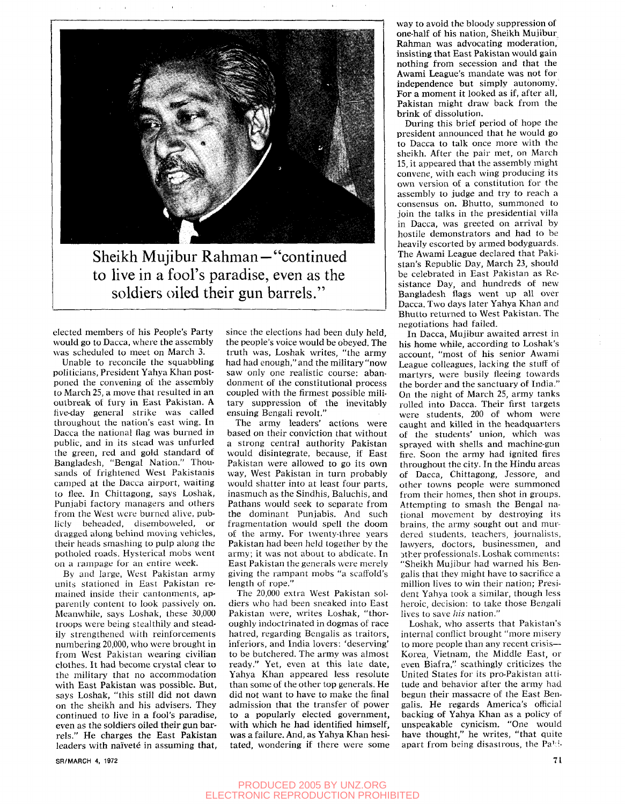

Sheikh Mujibur Rahman—"continued to live in a fool's paradise, even as the soldiers oiled their gun barrels."

elected members of his People's Party would go to Dacca, where the assembly was scheduled to meet on March 3.

Unable to reconcile the squabbling politicians, President Yahya Khan postponed the convening of the assembly to March 25, a move that resulted in an outbreak of fury in East Pakistan. A five-day general strike was called throughout the nation's east wing. In Dacca the national flag was burned in public, and in its stead was unfurled the green, red and gold standard of Bangladesh, "Bengal Nation." Thousands of frightened West Pakistanis camped at the Dacca airport, waiting to flee. In Chittagong, says Loshak, Punjabi factory managers and others from the West were burned alive, publicly beheaded, disemboweled, or dragged along behind moving vehicles, their heads smashing to pulp along the potholed roads. Hysterical mobs went on a rampage for an entire week.

By and large. West Pakistan army units stationed in East Pakistan remained inside their cantonments, apparently content to look passively on. Meanwhile, says Loshak, these 30,000 troops were being stealthily and steadily strengthened with reinforcements numbering 20,000, who were brought in from West Pakistan wearing civilian clothes. It had become crystal clear to the military that no accommodation with East Pakistan was possible. But, says Loshak, "this still did not dawn on the sheikh and his advisers. They continued to live in a fool's paradise, even as the soldiers oiled their gun barrels." He charges the East Pakistan leaders with naïveté in assuming that,

since the elections had been duly held, the people's voice would be obeyed. The truth was, Loshak writes, "the army had had enough," and the military "now saw only one realistic course: abandonment of the constitutional process coupled with the firmest possible military suppression of the inevitably ensuing Bengali revolt."

The army leaders' actions were based on their conviction that without a strong central authority Pakistan would disintegrate, because, if East Pakistan were allowed to go its own way. West Pakistan in turn probably would shatter into at least four parts, inasmuch as the Sindhis, Baluchis, and Pathans would seek to separate from the dominant Punjabis. And such fragmentation would spell the doom of the army. For twenty-three years Pakistan had been held together by the army; it was not about to abdicate. In East Pakistan the generals were merely giving the rampant mobs "a scaffold's length of rope."

The 20,000 extra West Pakistan soldiers who had been sneaked into East Pakistan were, writes Loshak, "thoroughly indoctrinated in dogmas of race hatred, regarding Bengalis as traitors, inferiors, and India lovers: 'deserving' to be butchered. The army was almost ready." Yet, even at this late date, Yahya Khan appeared less resolute than some of the other top generals. He did not want to have to make the final admission that the transfer of power to a popularly elected government, with which he had identified himself. was a failure. And, as Yahya Khan hesitated, wondering if there were some

way to avoid the bloody suppression of one-half of his nation. Sheikh Mujibur Rahman was advocating moderation, insisting that East Pakistan would gain nothing from secession and that the Awami League's mandate was not for independence but simply autonomy. For a moment it looked as if, after all, Pakistan might draw back from the brink of dissolution.

During this brief period of hope the president announced that he would go to Dacca to talk once more with the sheikh. After the pair met, on March 15, it appeared that the assembly might convene, with each wing producing its own version of a constitution for the assembly to judge and try to reach a consensus on. Bhutto, summoned to join the talks in the presidential villa in Dacca, was greeted on arrival by hostile demonstrators and had to be heavily escorted by armed bodyguards. The Awami League declared that Pakistan's Republic Day, March 23, should be celebrated in East Pakistan as Resistance Day, and hundreds of new Bangladesh flags went up all over Dacca. Two days later Yahya Khan and Bhutto returned to West Pakistan. The negotiations had failed.

In Dacca, Mujibur awaited arrest in his home while, according to Loshak's account, "most of his senior Awami League colleagues, lacking the stuff of martyrs, were busily fleeing towards the border and the sanctuary of India." On the night of March 25, army tanks rolled into Dacca. Their first targets were students, 200 of whom were caught and killed in the headquarters of the students' union, which was sprayed with shells and machine-gun fire. Soon the army had ignited fires throughout the city. In the Hindu areas of Dacca, Chittagong, Jessore, and other towns people were summoned from their homes, then shot in groups. Attempting to smash the Bengal national movement by destroying its brains, the army sought out and murdered students, teachers, journalists, lawyers, doctors, businessmen, and 3ther professionals. Loshak comments: "Sheikh Mujibur had warned his Bengalis that they might have to sacrifice a million lives to win their nation; President Yahya took a similar, though less heroic, decision: to take those Bengali lives to save *his* nation."

Loshak, who asserts that Pakistan's internal conflict brought "more misery to more people than any recent crisis— Korea, Vietnam, the Middle East, or even Biafra," scathingly criticizes the United States for its pro-Pakistan attitude and behavior after the army had begun their massacre of the East Bengalis. He regards America's official backing of Yahya Khan as a policy of unspeakable cynicism. "One would have thought," he writes, "that quite apart from being disastrous, the Pa'i-

# PRODUCED 2005 BY UNZ.ORG ELECTRONIC REPRODUCTION PROHIBITED